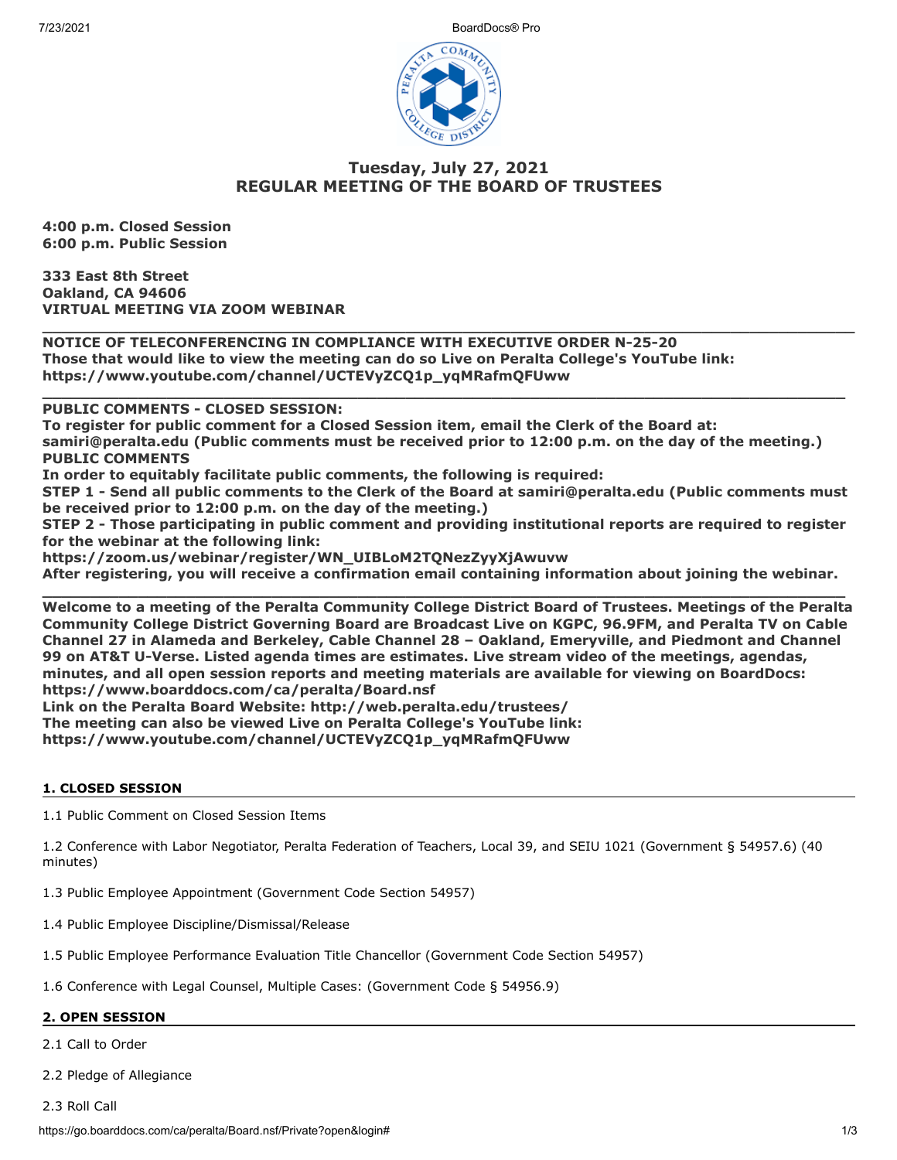7/23/2021 BoardDocs® Pro



# **Tuesday, July 27, 2021 REGULAR MEETING OF THE BOARD OF TRUSTEES**

**\_\_\_\_\_\_\_\_\_\_\_\_\_\_\_\_\_\_\_\_\_\_\_\_\_\_\_\_\_\_\_\_\_\_\_\_\_\_\_\_\_\_\_\_\_\_\_\_\_\_\_\_\_\_\_\_\_\_\_\_\_\_\_\_\_\_\_\_\_\_\_\_\_\_\_\_\_\_\_\_\_\_\_\_\_**

**\_\_\_\_\_\_\_\_\_\_\_\_\_\_\_\_\_\_\_\_\_\_\_\_\_\_\_\_\_\_\_\_\_\_\_\_\_\_\_\_\_\_\_\_\_\_\_\_\_\_\_\_\_\_\_\_\_\_\_\_\_\_\_\_\_\_\_\_\_\_\_\_\_\_\_\_\_\_\_\_\_\_\_\_**

**4:00 p.m. Closed Session 6:00 p.m. Public Session**

**333 East 8th Street Oakland, CA 94606 VIRTUAL MEETING VIA ZOOM WEBINAR**

**NOTICE OF TELECONFERENCING IN COMPLIANCE WITH EXECUTIVE ORDER N-25-20 Those that would like to view the meeting can do so Live on Peralta College's YouTube link: https://www.youtube.com/channel/UCTEVyZCQ1p\_yqMRafmQFUww** 

**PUBLIC COMMENTS - CLOSED SESSION:** 

**To register for public comment for a Closed Session item, email the Clerk of the Board at: samiri@peralta.edu (Public comments must be received prior to 12:00 p.m. on the day of the meeting.) PUBLIC COMMENTS**

**In order to equitably facilitate public comments, the following is required:**

**STEP 1 - Send all public comments to the Clerk of the Board at samiri@peralta.edu (Public comments must be received prior to 12:00 p.m. on the day of the meeting.)**

**STEP 2 - Those participating in public comment and providing institutional reports are required to register for the webinar at the following link:**

**https://zoom.us/webinar/register/WN\_UIBLoM2TQNezZyyXjAwuvw**

**After registering, you will receive a confirmation email containing information about joining the webinar. \_\_\_\_\_\_\_\_\_\_\_\_\_\_\_\_\_\_\_\_\_\_\_\_\_\_\_\_\_\_\_\_\_\_\_\_\_\_\_\_\_\_\_\_\_\_\_\_\_\_\_\_\_\_\_\_\_\_\_\_\_\_\_\_\_\_\_\_\_\_\_\_\_\_\_\_\_\_\_\_\_\_\_\_**

**Welcome to a meeting of the Peralta Community College District Board of Trustees. Meetings of the Peralta Community College District Governing Board are Broadcast Live on KGPC, 96.9FM, and Peralta TV on Cable Channel 27 in Alameda and Berkeley, Cable Channel 28 – Oakland, Emeryville, and Piedmont and Channel 99 on AT&T U-Verse. Listed agenda times are estimates. Live stream video of the meetings, agendas, minutes, and all open session reports and meeting materials are available for viewing on BoardDocs: https://www.boarddocs.com/ca/peralta/Board.nsf Link on the Peralta Board Website: http://web.peralta.edu/trustees/**

**The meeting can also be viewed Live on Peralta College's YouTube link:**

**https://www.youtube.com/channel/UCTEVyZCQ1p\_yqMRafmQFUww**

### **1. CLOSED SESSION**

1.1 Public Comment on Closed Session Items

1.2 Conference with Labor Negotiator, Peralta Federation of Teachers, Local 39, and SEIU 1021 (Government § 54957.6) (40 minutes)

1.3 Public Employee Appointment (Government Code Section 54957)

- 1.4 Public Employee Discipline/Dismissal/Release
- 1.5 Public Employee Performance Evaluation Title Chancellor (Government Code Section 54957)

1.6 Conference with Legal Counsel, Multiple Cases: (Government Code § 54956.9)

## **2. OPEN SESSION**

2.1 Call to Order

2.2 Pledge of Allegiance

2.3 Roll Call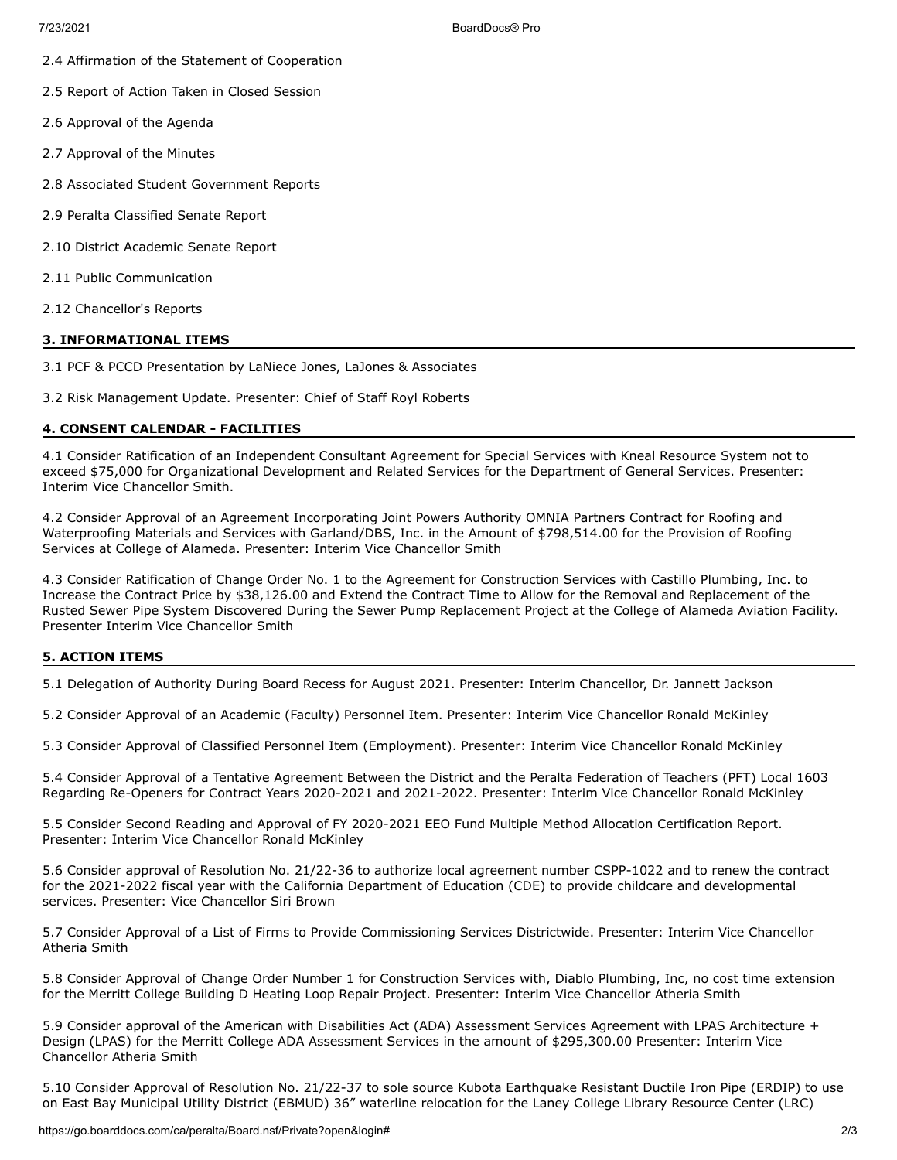- 2.4 Affirmation of the Statement of Cooperation
- 2.5 Report of Action Taken in Closed Session
- 2.6 Approval of the Agenda
- 2.7 Approval of the Minutes
- 2.8 Associated Student Government Reports
- 2.9 Peralta Classified Senate Report
- 2.10 District Academic Senate Report
- 2.11 Public Communication
- 2.12 Chancellor's Reports

### **3. INFORMATIONAL ITEMS**

3.1 PCF & PCCD Presentation by LaNiece Jones, LaJones & Associates

3.2 Risk Management Update. Presenter: Chief of Staff Royl Roberts

### **4. CONSENT CALENDAR - FACILITIES**

4.1 Consider Ratification of an Independent Consultant Agreement for Special Services with Kneal Resource System not to exceed \$75,000 for Organizational Development and Related Services for the Department of General Services. Presenter: Interim Vice Chancellor Smith.

4.2 Consider Approval of an Agreement Incorporating Joint Powers Authority OMNIA Partners Contract for Roofing and Waterproofing Materials and Services with Garland/DBS, Inc. in the Amount of \$798,514.00 for the Provision of Roofing Services at College of Alameda. Presenter: Interim Vice Chancellor Smith

4.3 Consider Ratification of Change Order No. 1 to the Agreement for Construction Services with Castillo Plumbing, Inc. to Increase the Contract Price by \$38,126.00 and Extend the Contract Time to Allow for the Removal and Replacement of the Rusted Sewer Pipe System Discovered During the Sewer Pump Replacement Project at the College of Alameda Aviation Facility. Presenter Interim Vice Chancellor Smith

### **5. ACTION ITEMS**

5.1 Delegation of Authority During Board Recess for August 2021. Presenter: Interim Chancellor, Dr. Jannett Jackson

5.2 Consider Approval of an Academic (Faculty) Personnel Item. Presenter: Interim Vice Chancellor Ronald McKinley

5.3 Consider Approval of Classified Personnel Item (Employment). Presenter: Interim Vice Chancellor Ronald McKinley

5.4 Consider Approval of a Tentative Agreement Between the District and the Peralta Federation of Teachers (PFT) Local 1603 Regarding Re-Openers for Contract Years 2020-2021 and 2021-2022. Presenter: Interim Vice Chancellor Ronald McKinley

5.5 Consider Second Reading and Approval of FY 2020-2021 EEO Fund Multiple Method Allocation Certification Report. Presenter: Interim Vice Chancellor Ronald McKinley

5.6 Consider approval of Resolution No. 21/22-36 to authorize local agreement number CSPP-1022 and to renew the contract for the 2021-2022 fiscal year with the California Department of Education (CDE) to provide childcare and developmental services. Presenter: Vice Chancellor Siri Brown

5.7 Consider Approval of a List of Firms to Provide Commissioning Services Districtwide. Presenter: Interim Vice Chancellor Atheria Smith

5.8 Consider Approval of Change Order Number 1 for Construction Services with, Diablo Plumbing, Inc, no cost time extension for the Merritt College Building D Heating Loop Repair Project. Presenter: Interim Vice Chancellor Atheria Smith

5.9 Consider approval of the American with Disabilities Act (ADA) Assessment Services Agreement with LPAS Architecture + Design (LPAS) for the Merritt College ADA Assessment Services in the amount of \$295,300.00 Presenter: Interim Vice Chancellor Atheria Smith

5.10 Consider Approval of Resolution No. 21/22-37 to sole source Kubota Earthquake Resistant Ductile Iron Pipe (ERDIP) to use on East Bay Municipal Utility District (EBMUD) 36" waterline relocation for the Laney College Library Resource Center (LRC)